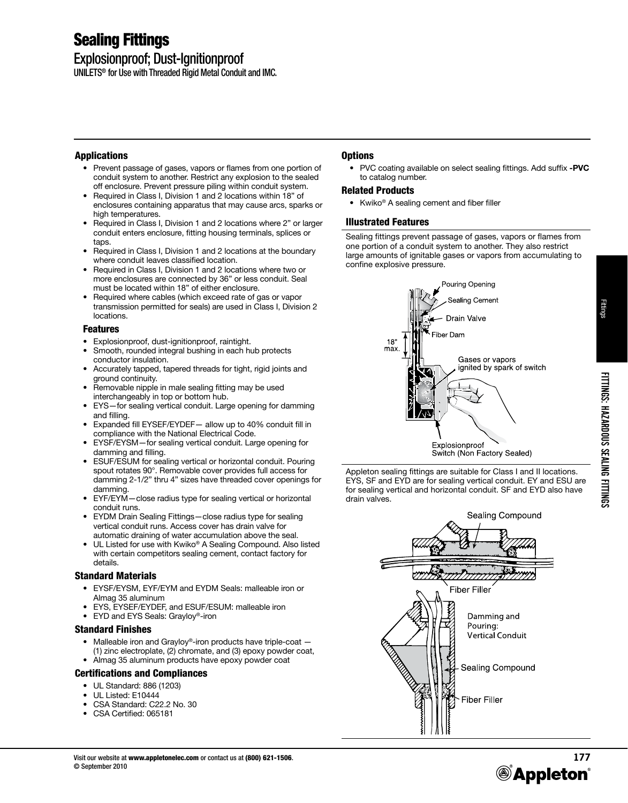# Sealing Fittings

## Explosionproof; Dust-Ignitionproof

UNILETS® for Use with Threaded Rigid Metal Conduit and IMC.

### Applications

- Prevent passage of gases, vapors or flames from one portion of conduit system to another. Restrict any explosion to the sealed off enclosure. Prevent pressure piling within conduit system.
- Required in Class I, Division 1 and 2 locations within 18" of enclosures containing apparatus that may cause arcs, sparks or high temperatures.
- Required in Class I, Division 1 and 2 locations where 2" or larger conduit enters enclosure, fitting housing terminals, splices or taps.
- Required in Class I, Division 1 and 2 locations at the boundary where conduit leaves classified location.
- Required in Class I, Division 1 and 2 locations where two or more enclosures are connected by 36" or less conduit. Seal must be located within 18" of either enclosure.
- Required where cables (which exceed rate of gas or vapor transmission permitted for seals) are used in Class I, Division 2 locations.

#### Features

- Explosionproof, dust-ignitionproof, raintight.
- Smooth, rounded integral bushing in each hub protects conductor insulation.
- Accurately tapped, tapered threads for tight, rigid joints and ground continuity.
- Removable nipple in male sealing fitting may be used interchangeably in top or bottom hub.
- EYS—for sealing vertical conduit. Large opening for damming and filling.
- Expanded fill EYSEF/EYDEF— allow up to 40% conduit fill in compliance with the National Electrical Code.
- EYSF/EYSM—for sealing vertical conduit. Large opening for damming and filling.
- ESUF/ESUM for sealing vertical or horizontal conduit. Pouring spout rotates 90°. Removable cover provides full access for damming 2-1/2" thru 4" sizes have threaded cover openings for damming.
- EYF/EYM—close radius type for sealing vertical or horizontal conduit runs.
- EYDM Drain Sealing Fittings—close radius type for sealing vertical conduit runs. Access cover has drain valve for automatic draining of water accumulation above the seal.
- UL Listed for use with Kwiko® A Sealing Compound. Also listed with certain competitors sealing cement, contact factory for details.

### Standard Materials

- EYSF/EYSM, EYF/EYM and EYDM Seals: malleable iron or Almag 35 aluminum
- EYS, EYSEF/EYDEF, and ESUF/ESUM: malleable iron
- EYD and EYS Seals: Grayloy®-iron

#### Standard Finishes

- Malleable iron and Grayloy®-iron products have triple-coat -(1) zinc electroplate, (2) chromate, and (3) epoxy powder coat,
- Almag 35 aluminum products have epoxy powder coat

#### Certifications and Compliances

- UL Standard: 886 (1203)
- UL Listed: E10444
- CSA Standard: C22.2 No. 30
- CSA Certified: 065181

## **Options**

• PVC coating available on select sealing fittings. Add suffix **-PVC** to catalog number.

#### Related Products

• Kwiko<sup>®</sup> A sealing cement and fiber filler

#### Illustrated Features

Sealing fittings prevent passage of gases, vapors or flames from one portion of a conduit system to another. They also restrict large amounts of ignitable gases or vapors from accumulating to confine explosive pressure.



Appleton sealing fittings are suitable for Class I and II locations. EYS, SF and EYD are for sealing vertical conduit. EY and ESU are for sealing vertical and horizontal conduit. SF and EYD also have drain valves.



Fittings